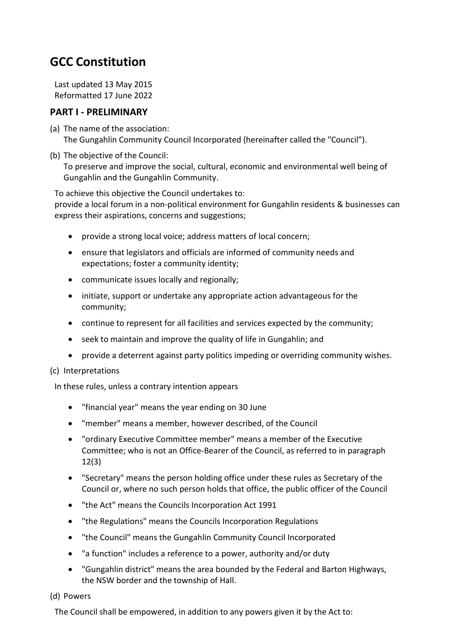# **GCC Constitution**

Last updated 13 May 2015 Reformatted 17 June 2022

### **PART I ‐ PRELIMINARY**

- (a) The name of the association: The Gungahlin Community Council Incorporated (hereinafter called the "Council").
- (b) The objective of the Council: To preserve and improve the social, cultural, economic and environmental well being of Gungahlin and the Gungahlin Community.

To achieve this objective the Council undertakes to: provide a local forum in a non‐political environment for Gungahlin residents & businesses can express their aspirations, concerns and suggestions;

- provide a strong local voice; address matters of local concern;
- ensure that legislators and officials are informed of community needs and expectations; foster a community identity;
- communicate issues locally and regionally;
- initiate, support or undertake any appropriate action advantageous for the community;
- continue to represent for all facilities and services expected by the community;
- seek to maintain and improve the quality of life in Gungahlin; and
- provide a deterrent against party politics impeding or overriding community wishes.

#### (c) Interpretations

In these rules, unless a contrary intention appears

- "financial year" means the year ending on 30 June
- "member" means a member, however described, of the Council
- "ordinary Executive Committee member" means a member of the Executive Committee; who is not an Office‐Bearer of the Council, as referred to in paragraph 12(3)
- "Secretary" means the person holding office under these rules as Secretary of the Council or, where no such person holds that office, the public officer of the Council
- "the Act" means the Councils Incorporation Act 1991
- "the Regulations" means the Councils Incorporation Regulations
- "the Council" means the Gungahlin Community Council Incorporated
- "a function" includes a reference to a power, authority and/or duty
- "Gungahlin district" means the area bounded by the Federal and Barton Highways, the NSW border and the township of Hall.

#### (d) Powers

The Council shall be empowered, in addition to any powers given it by the Act to: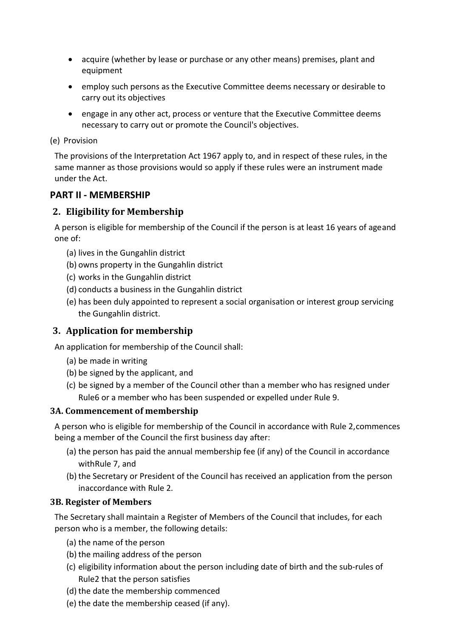- acquire (whether by lease or purchase or any other means) premises, plant and equipment
- employ such persons as the Executive Committee deems necessary or desirable to carry out its objectives
- engage in any other act, process or venture that the Executive Committee deems necessary to carry out or promote the Council's objectives.

#### (e) Provision

The provisions of the Interpretation Act 1967 apply to, and in respect of these rules, in the same manner as those provisions would so apply if these rules were an instrument made under the Act.

#### **PART II ‐ MEMBERSHIP**

#### **2. Eligibility for Membership**

A person is eligible for membership of the Council if the person is at least 16 years of ageand one of:

- (a) lives in the Gungahlin district
- (b) owns property in the Gungahlin district
- (c) works in the Gungahlin district
- (d) conducts a business in the Gungahlin district
- (e) has been duly appointed to represent a social organisation or interest group servicing the Gungahlin district.

#### **3. Application for membership**

An application for membership of the Council shall:

- (a) be made in writing
- (b) be signed by the applicant, and
- (c) be signed by a member of the Council other than a member who has resigned under Rule6 or a member who has been suspended or expelled under Rule 9.

#### **3A. Commencement of membership**

A person who is eligible for membership of the Council in accordance with Rule 2,commences being a member of the Council the first business day after:

- (a) the person has paid the annual membership fee (if any) of the Council in accordance withRule 7, and
- (b) the Secretary or President of the Council has received an application from the person inaccordance with Rule 2.

#### **3B. Register of Members**

The Secretary shall maintain a Register of Members of the Council that includes, for each person who is a member, the following details:

- (a) the name of the person
- (b) the mailing address of the person
- (c) eligibility information about the person including date of birth and the sub‐rules of Rule2 that the person satisfies
- (d) the date the membership commenced
- (e) the date the membership ceased (if any).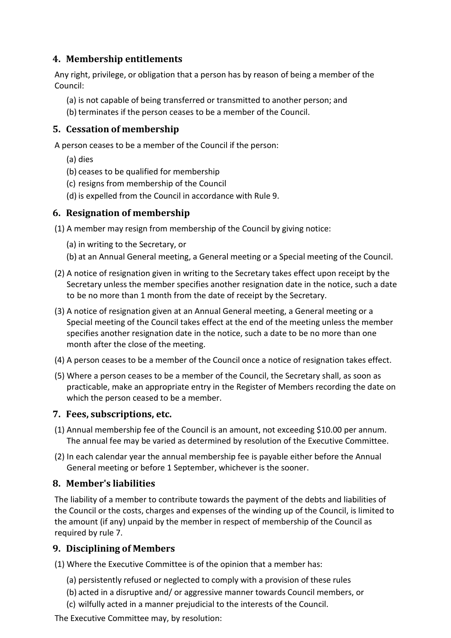### **4. Membership entitlements**

Any right, privilege, or obligation that a person has by reason of being a member of the Council:

- (a) is not capable of being transferred or transmitted to another person; and
- (b) terminates if the person ceases to be a member of the Council.

### **5. Cessation of membership**

A person ceases to be a member of the Council if the person:

- (a) dies
- (b) ceases to be qualified for membership
- (c) resigns from membership of the Council
- (d) is expelled from the Council in accordance with Rule 9.

## **6. Resignation of membership**

(1) A member may resign from membership of the Council by giving notice:

- (a) in writing to the Secretary, or
- (b) at an Annual General meeting, a General meeting or a Special meeting of the Council.
- (2) A notice of resignation given in writing to the Secretary takes effect upon receipt by the Secretary unless the member specifies another resignation date in the notice, such a date to be no more than 1 month from the date of receipt by the Secretary.
- (3) A notice of resignation given at an Annual General meeting, a General meeting or a Special meeting of the Council takes effect at the end of the meeting unless the member specifies another resignation date in the notice, such a date to be no more than one month after the close of the meeting.
- (4) A person ceases to be a member of the Council once a notice of resignation takes effect.
- (5) Where a person ceases to be a member of the Council, the Secretary shall, as soon as practicable, make an appropriate entry in the Register of Members recording the date on which the person ceased to be a member.

### **7. Fees, subscriptions, etc.**

- (1) Annual membership fee of the Council is an amount, not exceeding \$10.00 per annum. The annual fee may be varied as determined by resolution of the Executive Committee.
- (2) In each calendar year the annual membership fee is payable either before the Annual General meeting or before 1 September, whichever is the sooner.

### **8. Member's liabilities**

The liability of a member to contribute towards the payment of the debts and liabilities of the Council or the costs, charges and expenses of the winding up of the Council, is limited to the amount (if any) unpaid by the member in respect of membership of the Council as required by rule 7.

## **9. Disciplining of Members**

(1) Where the Executive Committee is of the opinion that a member has:

- (a) persistently refused or neglected to comply with a provision of these rules
- (b) acted in a disruptive and/ or aggressive manner towards Council members, or
- (c) wilfully acted in a manner prejudicial to the interests of the Council.

The Executive Committee may, by resolution: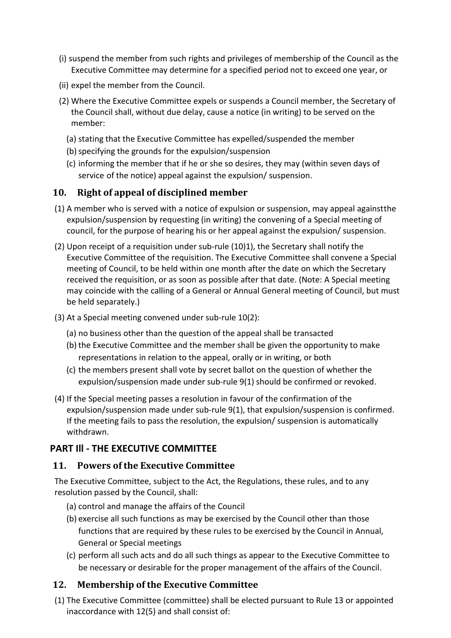- (i) suspend the member from such rights and privileges of membership of the Council as the Executive Committee may determine for a specified period not to exceed one year, or
- (ii) expel the member from the Council.
- (2) Where the Executive Committee expels or suspends a Council member, the Secretary of the Council shall, without due delay, cause a notice (in writing) to be served on the member:
	- (a) stating that the Executive Committee has expelled/suspended the member
	- (b)specifying the grounds for the expulsion/suspension
	- (c) informing the member that if he or she so desires, they may (within seven days of service of the notice) appeal against the expulsion/ suspension.

## **10. Right of appeal of disciplined member**

- (1) A member who is served with a notice of expulsion or suspension, may appeal againstthe expulsion/suspension by requesting (in writing) the convening of a Special meeting of council, for the purpose of hearing his or her appeal against the expulsion/ suspension.
- (2) Upon receipt of a requisition under sub-rule  $(10)1$ ), the Secretary shall notify the Executive Committee of the requisition. The Executive Committee shall convene a Special meeting of Council, to be held within one month after the date on which the Secretary received the requisition, or as soon as possible after that date. (Note: A Special meeting may coincide with the calling of a General or Annual General meeting of Council, but must be held separately.)
- (3) At a Special meeting convened under sub‐rule 10(2):
	- (a) no business other than the question of the appeal shall be transacted
	- (b) the Executive Committee and the member shall be given the opportunity to make representations in relation to the appeal, orally or in writing, or both
	- (c) the members present shall vote by secret ballot on the question of whether the expulsion/suspension made under sub-rule 9(1) should be confirmed or revoked.
- (4) If the Special meeting passes a resolution in favour of the confirmation of the expulsion/suspension made under sub-rule 9(1), that expulsion/suspension is confirmed. If the meeting fails to pass the resolution, the expulsion/ suspension is automatically withdrawn.

## **PART Ill ‐ THE EXECUTIVE COMMITTEE**

### **11. Powers of the Executive Committee**

The Executive Committee, subject to the Act, the Regulations, these rules, and to any resolution passed by the Council, shall:

- (a) control and manage the affairs of the Council
- (b) exercise all such functions as may be exercised by the Council other than those functions that are required by these rules to be exercised by the Council in Annual, General or Special meetings
- (c) perform all such acts and do all such things as appear to the Executive Committee to be necessary or desirable for the proper management of the affairs of the Council.

## **12. Membership of the Executive Committee**

(1) The Executive Committee (committee) shall be elected pursuant to Rule 13 or appointed inaccordance with 12(5) and shall consist of: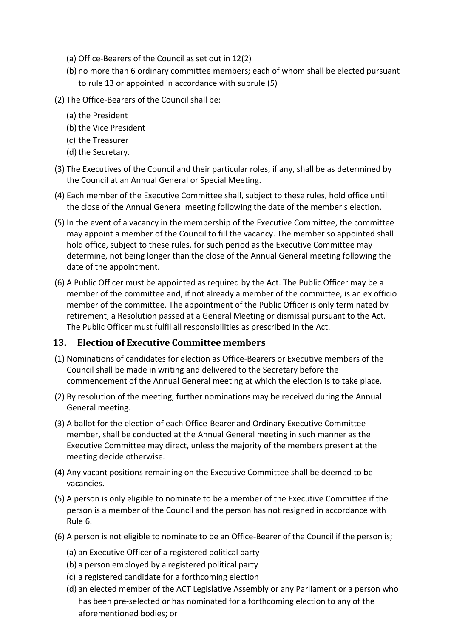- (a) Office‐Bearers of the Council as set out in 12(2)
- (b) no more than 6 ordinary committee members; each of whom shall be elected pursuant to rule 13 or appointed in accordance with subrule (5)
- (2) The Office‐Bearers of the Council shall be:
	- (a) the President
	- (b) the Vice President
	- (c) the Treasurer
	- (d) the Secretary.
- (3) The Executives of the Council and their particular roles, if any, shall be as determined by the Council at an Annual General or Special Meeting.
- (4) Each member of the Executive Committee shall, subject to these rules, hold office until the close of the Annual General meeting following the date of the member's election.
- (5) In the event of a vacancy in the membership of the Executive Committee, the committee may appoint a member of the Council to fill the vacancy. The member so appointed shall hold office, subject to these rules, for such period as the Executive Committee may determine, not being longer than the close of the Annual General meeting following the date of the appointment.
- (6) A Public Officer must be appointed as required by the Act. The Public Officer may be a member of the committee and, if not already a member of the committee, is an ex officio member of the committee. The appointment of the Public Officer is only terminated by retirement, a Resolution passed at a General Meeting or dismissal pursuant to the Act. The Public Officer must fulfil all responsibilities as prescribed in the Act.

### **13. Election of Executive Committee members**

- (1) Nominations of candidates for election as Office‐Bearers or Executive members of the Council shall be made in writing and delivered to the Secretary before the commencement of the Annual General meeting at which the election is to take place.
- (2) By resolution of the meeting, further nominations may be received during the Annual General meeting.
- (3) A ballot for the election of each Office‐Bearer and Ordinary Executive Committee member, shall be conducted at the Annual General meeting in such manner as the Executive Committee may direct, unless the majority of the members present at the meeting decide otherwise.
- (4) Any vacant positions remaining on the Executive Committee shall be deemed to be vacancies.
- (5) A person is only eligible to nominate to be a member of the Executive Committee if the person is a member of the Council and the person has not resigned in accordance with Rule 6.
- (6) A person is not eligible to nominate to be an Office‐Bearer of the Council if the person is;
	- (a) an Executive Officer of a registered political party
	- (b) a person employed by a registered political party
	- (c) a registered candidate for a forthcoming election
	- (d) an elected member of the ACT Legislative Assembly or any Parliament or a person who has been pre-selected or has nominated for a forthcoming election to any of the aforementioned bodies; or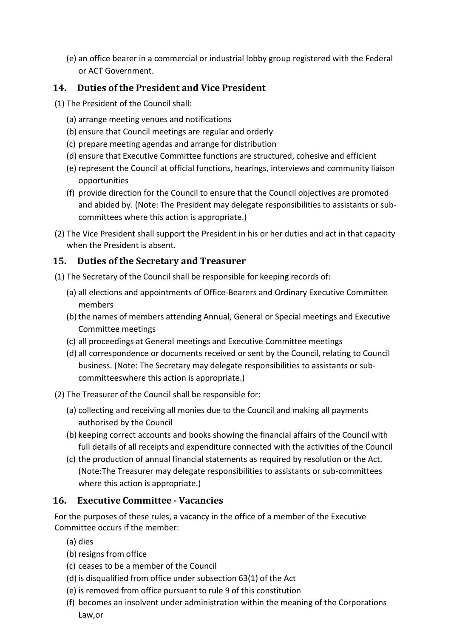(e) an office bearer in a commercial or industrial lobby group registered with the Federal or ACT Government.

## **14. Duties of the President and Vice President**

- (1) The President of the Council shall:
	- (a) arrange meeting venues and notifications
	- (b) ensure that Council meetings are regular and orderly
	- (c) prepare meeting agendas and arrange for distribution
	- (d) ensure that Executive Committee functions are structured, cohesive and efficient
	- (e) represent the Council at official functions, hearings, interviews and community liaison opportunities
	- (f) provide direction for the Council to ensure that the Council objectives are promoted and abided by. (Note: The President may delegate responsibilities to assistants or sub‐ committees where this action is appropriate.)
- (2) The Vice President shall support the President in his or her duties and act in that capacity when the President is absent.

## **15. Duties of the Secretary and Treasurer**

- (1) The Secretary of the Council shall be responsible for keeping records of:
	- (a) all elections and appointments of Office‐Bearers and Ordinary Executive Committee members
	- (b) the names of members attending Annual, General or Special meetings and Executive Committee meetings
	- (c) all proceedings at General meetings and Executive Committee meetings
	- (d) all correspondence or documents received or sent by the Council, relating to Council business. (Note: The Secretary may delegate responsibilities to assistants or sub‐ committeeswhere this action is appropriate.)
- (2) The Treasurer of the Council shall be responsible for:
	- (a) collecting and receiving all monies due to the Council and making all payments authorised by the Council
	- (b) keeping correct accounts and books showing the financial affairs of the Council with full details of all receipts and expenditure connected with the activities of the Council
	- (c) the production of annual financial statements as required by resolution or the Act. (Note:The Treasurer may delegate responsibilities to assistants or sub‐committees where this action is appropriate.)

## **16. Executive Committee ‐ Vacancies**

For the purposes of these rules, a vacancy in the office of a member of the Executive Committee occurs if the member:

- (a) dies
- (b) resigns from office
- (c) ceases to be a member of the Council
- (d) is disqualified from office under subsection 63(1) of the Act
- (e) is removed from office pursuant to rule 9 of this constitution
- (f) becomes an insolvent under administration within the meaning of the Corporations Law,or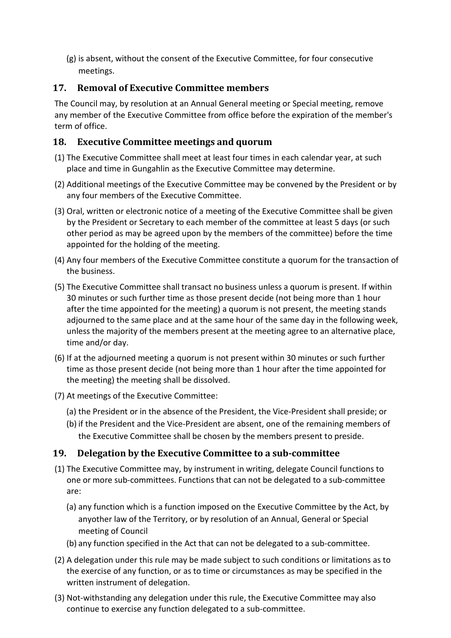(g) is absent, without the consent of the Executive Committee, for four consecutive meetings.

## **17. Removal of Executive Committee members**

The Council may, by resolution at an Annual General meeting or Special meeting, remove any member of the Executive Committee from office before the expiration of the member's term of office.

## **18. Executive Committee meetings and quorum**

- (1) The Executive Committee shall meet at least four times in each calendar year, at such place and time in Gungahlin as the Executive Committee may determine.
- (2) Additional meetings of the Executive Committee may be convened by the President or by any four members of the Executive Committee.
- (3) Oral, written or electronic notice of a meeting of the Executive Committee shall be given by the President or Secretary to each member of the committee at least 5 days (or such other period as may be agreed upon by the members of the committee) before the time appointed for the holding of the meeting.
- (4) Any four members of the Executive Committee constitute a quorum for the transaction of the business.
- (5) The Executive Committee shall transact no business unless a quorum is present. If within 30 minutes or such further time as those present decide (not being more than 1 hour after the time appointed for the meeting) a quorum is not present, the meeting stands adjourned to the same place and at the same hour of the same day in the following week, unless the majority of the members present at the meeting agree to an alternative place, time and/or day.
- (6) If at the adjourned meeting a quorum is not present within 30 minutes or such further time as those present decide (not being more than 1 hour after the time appointed for the meeting) the meeting shall be dissolved.
- (7) At meetings of the Executive Committee:
	- (a) the President or in the absence of the President, the Vice‐President shall preside; or
	- (b) if the President and the Vice‐President are absent, one of the remaining members of the Executive Committee shall be chosen by the members present to preside.

## **19. Delegation by the Executive Committee to a sub‐committee**

- (1) The Executive Committee may, by instrument in writing, delegate Council functions to one or more sub‐committees. Functions that can not be delegated to a sub‐committee are:
	- (a) any function which is a function imposed on the Executive Committee by the Act, by anyother law of the Territory, or by resolution of an Annual, General or Special meeting of Council
	- (b) any function specified in the Act that can not be delegated to a sub‐committee.
- (2) A delegation under this rule may be made subject to such conditions or limitations as to the exercise of any function, or as to time or circumstances as may be specified in the written instrument of delegation.
- (3) Not‐withstanding any delegation under this rule, the Executive Committee may also continue to exercise any function delegated to a sub‐committee.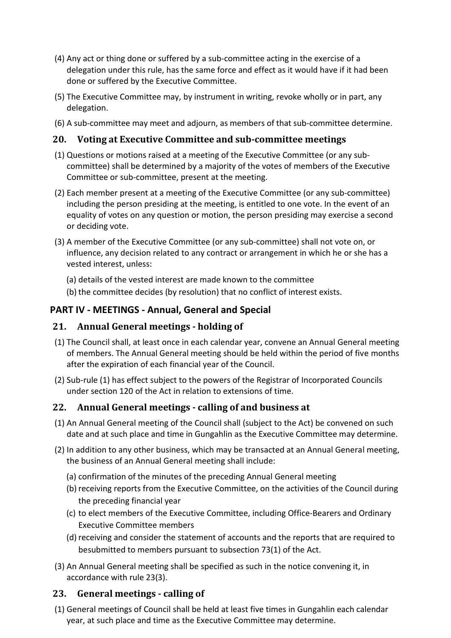- (4) Any act or thing done or suffered by a sub‐committee acting in the exercise of a delegation under this rule, has the same force and effect as it would have if it had been done or suffered by the Executive Committee.
- (5) The Executive Committee may, by instrument in writing, revoke wholly or in part, any delegation.
- (6) A sub‐committee may meet and adjourn, as members of that sub‐committee determine.

## **20. Voting at Executive Committee and sub‐committee meetings**

- (1) Questions or motions raised at a meeting of the Executive Committee (or any sub‐ committee) shall be determined by a majority of the votes of members of the Executive Committee or sub‐committee, present at the meeting.
- (2) Each member present at a meeting of the Executive Committee (or any sub‐committee) including the person presiding at the meeting, is entitled to one vote. In the event of an equality of votes on any question or motion, the person presiding may exercise a second or deciding vote.
- (3) A member of the Executive Committee (or any sub‐committee) shall not vote on, or influence, any decision related to any contract or arrangement in which he or she has a vested interest, unless:
	- (a) details of the vested interest are made known to the committee
	- (b) the committee decides (by resolution) that no conflict of interest exists.

## **PART IV ‐ MEETINGS ‐ Annual, General and Special**

### **21. Annual General meetings ‐ holding of**

- (1) The Council shall, at least once in each calendar year, convene an Annual General meeting of members. The Annual General meeting should be held within the period of five months after the expiration of each financial year of the Council.
- (2) Sub‐rule (1) has effect subject to the powers of the Registrar of Incorporated Councils under section 120 of the Act in relation to extensions of time.

## **22. Annual General meetings ‐ calling of and business at**

- (1) An Annual General meeting of the Council shall (subject to the Act) be convened on such date and at such place and time in Gungahlin as the Executive Committee may determine.
- (2) In addition to any other business, which may be transacted at an Annual General meeting, the business of an Annual General meeting shall include:
	- (a) confirmation of the minutes of the preceding Annual General meeting
	- (b) receiving reports from the Executive Committee, on the activities of the Council during the preceding financial year
	- (c) to elect members of the Executive Committee, including Office‐Bearers and Ordinary Executive Committee members
	- (d) receiving and consider the statement of accounts and the reports that are required to besubmitted to members pursuant to subsection 73(1) of the Act.
- (3) An Annual General meeting shall be specified as such in the notice convening it, in accordance with rule 23(3).

## **23. General meetings ‐ calling of**

(1) General meetings of Council shall be held at least five times in Gungahlin each calendar year, at such place and time as the Executive Committee may determine.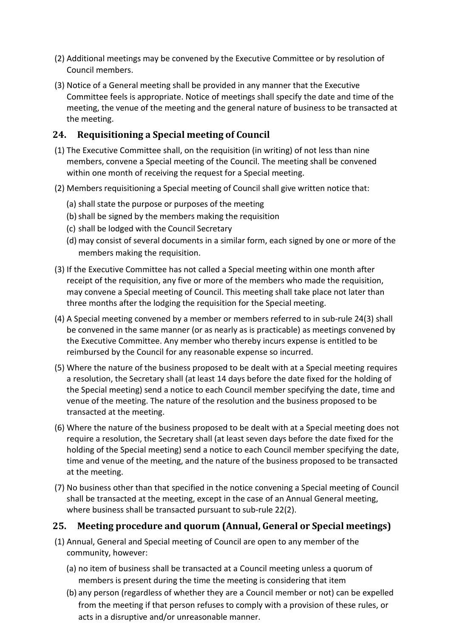- (2) Additional meetings may be convened by the Executive Committee or by resolution of Council members.
- (3) Notice of a General meeting shall be provided in any manner that the Executive Committee feels is appropriate. Notice of meetings shall specify the date and time of the meeting, the venue of the meeting and the general nature of business to be transacted at the meeting.

## **24. Requisitioning a Special meeting of Council**

- (1) The Executive Committee shall, on the requisition (in writing) of not less than nine members, convene a Special meeting of the Council. The meeting shall be convened within one month of receiving the request for a Special meeting.
- (2) Members requisitioning a Special meeting of Council shall give written notice that:
	- (a) shall state the purpose or purposes of the meeting
	- (b) shall be signed by the members making the requisition
	- (c) shall be lodged with the Council Secretary
	- (d) may consist of several documents in a similar form, each signed by one or more of the members making the requisition.
- (3) If the Executive Committee has not called a Special meeting within one month after receipt of the requisition, any five or more of the members who made the requisition, may convene a Special meeting of Council. This meeting shall take place not later than three months after the lodging the requisition for the Special meeting.
- (4) A Special meeting convened by a member or members referred to in sub-rule 24(3) shall be convened in the same manner (or as nearly as is practicable) as meetings convened by the Executive Committee. Any member who thereby incurs expense is entitled to be reimbursed by the Council for any reasonable expense so incurred.
- (5) Where the nature of the business proposed to be dealt with at a Special meeting requires a resolution, the Secretary shall (at least 14 days before the date fixed for the holding of the Special meeting) send a notice to each Council member specifying the date, time and venue of the meeting. The nature of the resolution and the business proposed to be transacted at the meeting.
- (6) Where the nature of the business proposed to be dealt with at a Special meeting does not require a resolution, the Secretary shall (at least seven days before the date fixed for the holding of the Special meeting) send a notice to each Council member specifying the date, time and venue of the meeting, and the nature of the business proposed to be transacted at the meeting.
- (7) No business other than that specified in the notice convening a Special meeting of Council shall be transacted at the meeting, except in the case of an Annual General meeting, where business shall be transacted pursuant to sub-rule 22(2).

## **25. Meeting procedure and quorum (Annual, General or Special meetings)**

- (1) Annual, General and Special meeting of Council are open to any member of the community, however:
	- (a) no item of business shall be transacted at a Council meeting unless a quorum of members is present during the time the meeting is considering that item
	- (b) any person (regardless of whether they are a Council member or not) can be expelled from the meeting if that person refuses to comply with a provision of these rules, or acts in a disruptive and/or unreasonable manner.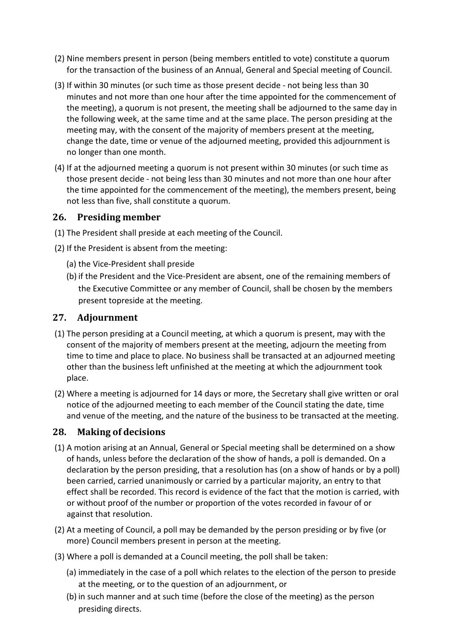- (2) Nine members present in person (being members entitled to vote) constitute a quorum for the transaction of the business of an Annual, General and Special meeting of Council.
- (3) If within 30 minutes (or such time as those present decide ‐ not being less than 30 minutes and not more than one hour after the time appointed for the commencement of the meeting), a quorum is not present, the meeting shall be adjourned to the same day in the following week, at the same time and at the same place. The person presiding at the meeting may, with the consent of the majority of members present at the meeting, change the date, time or venue of the adjourned meeting, provided this adjournment is no longer than one month.
- (4) If at the adjourned meeting a quorum is not present within 30 minutes (or such time as those present decide ‐ not being less than 30 minutes and not more than one hour after the time appointed for the commencement of the meeting), the members present, being not less than five, shall constitute a quorum.

### **26. Presiding member**

- (1) The President shall preside at each meeting of the Council.
- (2) If the President is absent from the meeting:
	- (a) the Vice‐President shall preside
	- (b) if the President and the Vice‐President are absent, one of the remaining members of the Executive Committee or any member of Council, shall be chosen by the members present topreside at the meeting.

### **27. Adjournment**

- (1) The person presiding at a Council meeting, at which a quorum is present, may with the consent of the majority of members present at the meeting, adjourn the meeting from time to time and place to place. No business shall be transacted at an adjourned meeting other than the business left unfinished at the meeting at which the adjournment took place.
- (2) Where a meeting is adjourned for 14 days or more, the Secretary shall give written or oral notice of the adjourned meeting to each member of the Council stating the date, time and venue of the meeting, and the nature of the business to be transacted at the meeting.

### **28. Making of decisions**

- (1) A motion arising at an Annual, General or Special meeting shall be determined on a show of hands, unless before the declaration of the show of hands, a poll is demanded. On a declaration by the person presiding, that a resolution has (on a show of hands or by a poll) been carried, carried unanimously or carried by a particular majority, an entry to that effect shall be recorded. This record is evidence of the fact that the motion is carried, with or without proof of the number or proportion of the votes recorded in favour of or against that resolution.
- (2) At a meeting of Council, a poll may be demanded by the person presiding or by five (or more) Council members present in person at the meeting.
- (3) Where a poll is demanded at a Council meeting, the poll shall be taken:
	- (a) immediately in the case of a poll which relates to the election of the person to preside at the meeting, or to the question of an adjournment, or
	- (b) in such manner and at such time (before the close of the meeting) as the person presiding directs.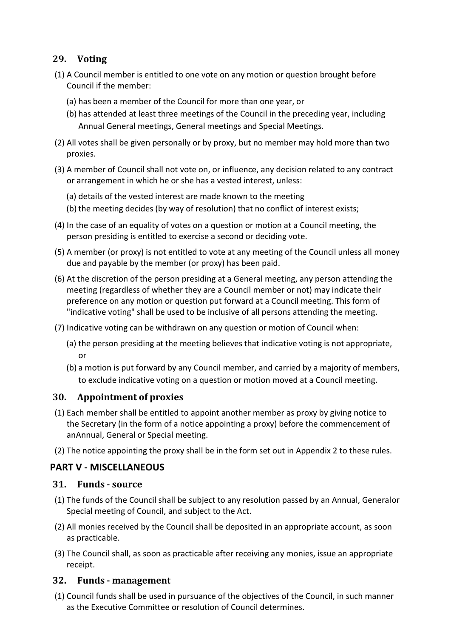## **29. Voting**

- (1) A Council member is entitled to one vote on any motion or question brought before Council if the member:
	- (a) has been a member of the Council for more than one year, or
	- (b) has attended at least three meetings of the Council in the preceding year, including Annual General meetings, General meetings and Special Meetings.
- (2) All votes shall be given personally or by proxy, but no member may hold more than two proxies.
- (3) A member of Council shall not vote on, or influence, any decision related to any contract or arrangement in which he or she has a vested interest, unless:
	- (a) details of the vested interest are made known to the meeting
	- (b) the meeting decides (by way of resolution) that no conflict of interest exists;
- (4) In the case of an equality of votes on a question or motion at a Council meeting, the person presiding is entitled to exercise a second or deciding vote.
- (5) A member (or proxy) is not entitled to vote at any meeting of the Council unless all money due and payable by the member (or proxy) has been paid.
- (6) At the discretion of the person presiding at a General meeting, any person attending the meeting (regardless of whether they are a Council member or not) may indicate their preference on any motion or question put forward at a Council meeting. This form of "indicative voting" shall be used to be inclusive of all persons attending the meeting.
- (7) Indicative voting can be withdrawn on any question or motion of Council when:
	- (a) the person presiding at the meeting believes that indicative voting is not appropriate, or
	- (b) a motion is put forward by any Council member, and carried by a majority of members, to exclude indicative voting on a question or motion moved at a Council meeting.

### **30. Appointment of proxies**

- (1) Each member shall be entitled to appoint another member as proxy by giving notice to the Secretary (in the form of a notice appointing a proxy) before the commencement of anAnnual, General or Special meeting.
- (2) The notice appointing the proxy shall be in the form set out in Appendix 2 to these rules.

## **PART V ‐ MISCELLANEOUS**

### **31. Funds ‐ source**

- (1) The funds of the Council shall be subject to any resolution passed by an Annual, Generalor Special meeting of Council, and subject to the Act.
- (2) All monies received by the Council shall be deposited in an appropriate account, as soon as practicable.
- (3) The Council shall, as soon as practicable after receiving any monies, issue an appropriate receipt.

### **32. Funds ‐ management**

(1) Council funds shall be used in pursuance of the objectives of the Council, in such manner as the Executive Committee or resolution of Council determines.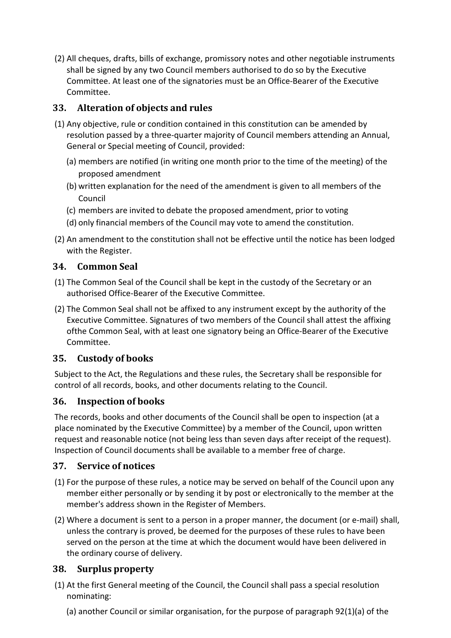(2) All cheques, drafts, bills of exchange, promissory notes and other negotiable instruments shall be signed by any two Council members authorised to do so by the Executive Committee. At least one of the signatories must be an Office‐Bearer of the Executive Committee.

## **33. Alteration of objects and rules**

- (1) Any objective, rule or condition contained in this constitution can be amended by resolution passed by a three‐quarter majority of Council members attending an Annual, General or Special meeting of Council, provided:
	- (a) members are notified (in writing one month prior to the time of the meeting) of the proposed amendment
	- (b) written explanation for the need of the amendment is given to all members of the Council
	- (c) members are invited to debate the proposed amendment, prior to voting
	- (d) only financial members of the Council may vote to amend the constitution.
- (2) An amendment to the constitution shall not be effective until the notice has been lodged with the Register.

## **34. Common Seal**

- (1) The Common Seal of the Council shall be kept in the custody of the Secretary or an authorised Office‐Bearer of the Executive Committee.
- (2) The Common Seal shall not be affixed to any instrument except by the authority of the Executive Committee. Signatures of two members of the Council shall attest the affixing ofthe Common Seal, with at least one signatory being an Office‐Bearer of the Executive Committee.

## **35. Custody of books**

Subject to the Act, the Regulations and these rules, the Secretary shall be responsible for control of all records, books, and other documents relating to the Council.

## **36. Inspection of books**

The records, books and other documents of the Council shall be open to inspection (at a place nominated by the Executive Committee) by a member of the Council, upon written request and reasonable notice (not being less than seven days after receipt of the request). Inspection of Council documents shall be available to a member free of charge.

## **37. Service of notices**

- (1) For the purpose of these rules, a notice may be served on behalf of the Council upon any member either personally or by sending it by post or electronically to the member at the member's address shown in the Register of Members.
- (2) Where a document is sent to a person in a proper manner, the document (or e‐mail) shall, unless the contrary is proved, be deemed for the purposes of these rules to have been served on the person at the time at which the document would have been delivered in the ordinary course of delivery.

## **38. Surplus property**

- (1) At the first General meeting of the Council, the Council shall pass a special resolution nominating:
	- (a) another Council or similar organisation, for the purpose of paragraph 92(1)(a) of the